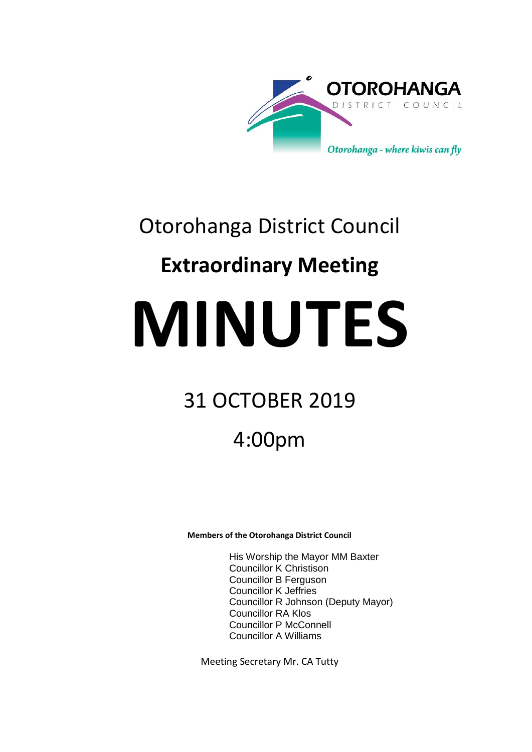

## Otorohanga District Council

## **Extraordinary Meeting**

# **MINUTES**

## 31 OCTOBER 2019

## 4:00pm

**Members of the Otorohanga District Council**

His Worship the Mayor MM Baxter Councillor K Christison Councillor B Ferguson Councillor K Jeffries Councillor R Johnson (Deputy Mayor) Councillor RA Klos Councillor P McConnell Councillor A Williams

Meeting Secretary Mr. CA Tutty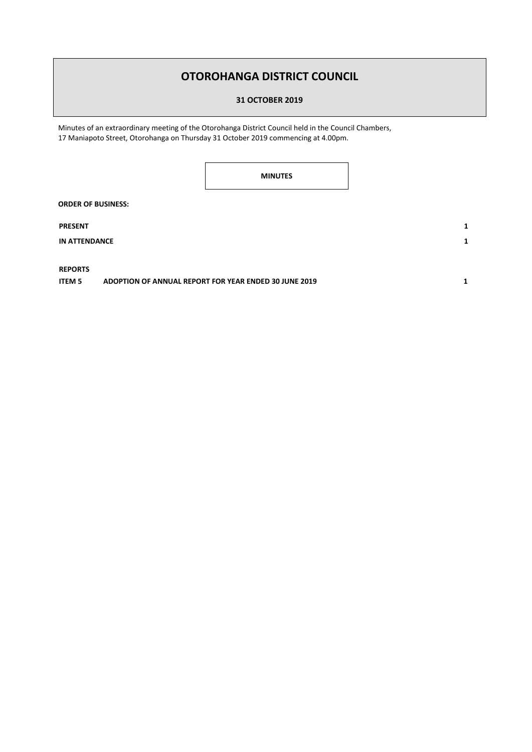### **OTOROHANGA DISTRICT COUNCIL**

**31 OCTOBER 2019**

Minutes of an extraordinary meeting of the Otorohanga District Council held in the Council Chambers, 17 Maniapoto Street, Otorohanga on Thursday 31 October 2019 commencing at 4.00pm.

**MINUTES**

**ORDER OF BUSINESS:**

**PRESENT 1**

**IN ATTENDANCE 1**

**REPORTS** 

**ITEM 5 ADOPTION OF ANNUAL REPORT FOR YEAR ENDED 30 JUNE 2019 1**